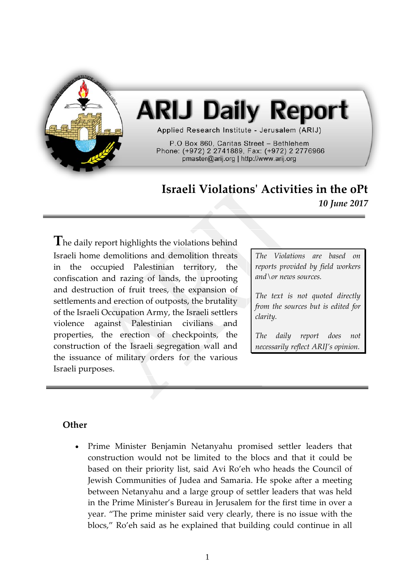

## **ARIJ Daily Report**

Applied Research Institute - Jerusalem (ARIJ)

P.O Box 860, Caritas Street - Bethlehem Phone: (+972) 2 2741889, Fax: (+972) 2 2776966 pmaster@arij.org | http://www.arij.org

## **Israeli Violations' Activities in the oPt** *10 June 2017*

**T**he daily report highlights the violations behind Israeli home demolitions and demolition threats in the occupied Palestinian territory, the confiscation and razing of lands, the uprooting and destruction of fruit trees, the expansion of settlements and erection of outposts, the brutality of the Israeli Occupation Army, the Israeli settlers violence against Palestinian civilians and properties, the erection of checkpoints, the construction of the Israeli segregation wall and the issuance of military orders for the various Israeli purposes.

*The Violations are based on reports provided by field workers and\or news sources.*

*The text is not quoted directly from the sources but is edited for clarity.*

*The daily report does not necessarily reflect ARIJ's opinion.*

## **Other**

• Prime Minister Benjamin Netanyahu promised settler leaders that construction would not be limited to the blocs and that it could be based on their priority list, said Avi Ro'eh who heads the Council of Jewish Communities of Judea and Samaria. He spoke after a meeting between Netanyahu and a large group of settler leaders that was held in the Prime Minister's Bureau in Jerusalem for the first time in over a year. "The prime minister said very clearly, there is no issue with the blocs," Ro'eh said as he explained that building could continue in all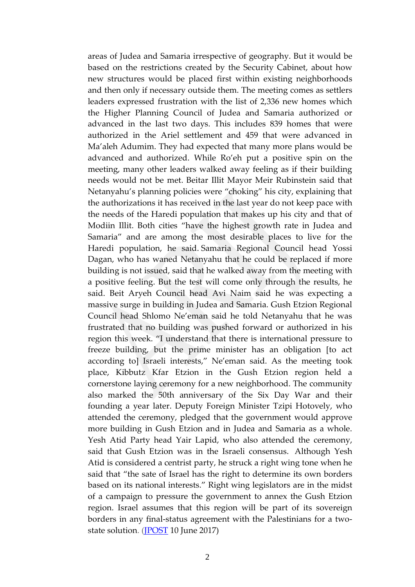areas of Judea and Samaria irrespective of geography. But it would be based on the restrictions created by the Security Cabinet, about how new structures would be placed first within existing neighborhoods and then only if necessary outside them. The meeting comes as settlers leaders expressed frustration with the list of 2,336 new homes which the Higher Planning Council of Judea and Samaria authorized or advanced in the last two days. This includes 839 homes that were authorized in the Ariel settlement and 459 that were advanced in Ma'aleh Adumim. They had expected that many more plans would be advanced and authorized. While Ro'eh put a positive spin on the meeting, many other leaders walked away feeling as if their building needs would not be met. Beitar Illit Mayor Meir Rubinstein said that Netanyahu's planning policies were "choking" his city, explaining that the authorizations it has received in the last year do not keep pace with the needs of the Haredi population that makes up his city and that of Modiin Illit. Both cities "have the highest growth rate in Judea and Samaria" and are among the most desirable places to live for the Haredi population, he said. Samaria Regional Council head Yossi Dagan, who has waned Netanyahu that he could be replaced if more building is not issued, said that he walked away from the meeting with a positive feeling. But the test will come only through the results, he said. Beit Aryeh Council head Avi Naim said he was expecting a massive surge in building in Judea and Samaria. Gush Etzion Regional Council head Shlomo Ne'eman said he told Netanyahu that he was frustrated that no building was pushed forward or authorized in his region this week. "I understand that there is international pressure to freeze building, but the prime minister has an obligation [to act according to] Israeli interests," Ne'eman said. As the meeting took place, Kibbutz Kfar Etzion in the Gush Etzion region held a cornerstone laying ceremony for a new neighborhood. The community also marked the 50th anniversary of the Six Day War and their founding a year later. Deputy Foreign Minister Tzipi Hotovely, who attended the ceremony, pledged that the government would approve more building in Gush Etzion and in Judea and Samaria as a whole. Yesh Atid Party head Yair Lapid, who also attended the ceremony, said that Gush Etzion was in the Israeli consensus. Although Yesh Atid is considered a centrist party, he struck a right wing tone when he said that "the sate of Israel has the right to determine its own borders based on its national interests." Right wing legislators are in the midst of a campaign to pressure the government to annex the Gush Etzion region. Israel assumes that this region will be part of its sovereign borders in any final-status agreement with the Palestinians for a twostate solution. [\(JPOST](http://www.jpost.com/Israel-News/Politics-And-Diplomacy/Settler-leader-Netanyahu-says-building-not-limited-to-blocs-496366) 10 June 2017)